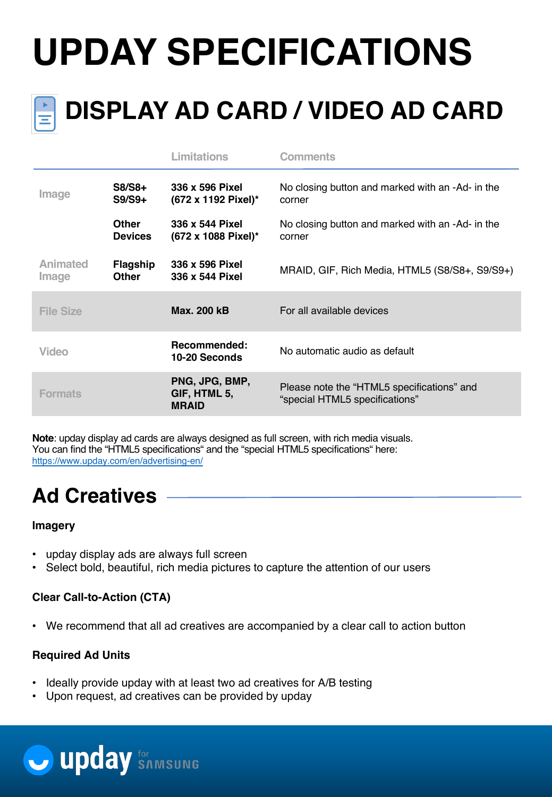# **UPDAY SPECIFICATIONS**



# **DISPLAY AD CARD / VIDEO AD CARD**

|                   |                                | <b>Limitations</b>                             | Comments                                                                     |
|-------------------|--------------------------------|------------------------------------------------|------------------------------------------------------------------------------|
| Image             | $S8/S8+$<br>$S9/S9+$           | 336 x 596 Pixel<br>(672 x 1192 Pixel)*         | No closing button and marked with an -Ad- in the<br>corner                   |
|                   | <b>Other</b><br><b>Devices</b> | 336 x 544 Pixel<br>(672 x 1088 Pixel)*         | No closing button and marked with an -Ad- in the<br>corner                   |
| Animated<br>Image | Flagship<br><b>Other</b>       | 336 x 596 Pixel<br>336 x 544 Pixel             | MRAID, GIF, Rich Media, HTML5 (S8/S8+, S9/S9+)                               |
| <b>File Size</b>  |                                | <b>Max. 200 kB</b>                             | For all available devices                                                    |
| Video             |                                | Recommended:<br>10-20 Seconds                  | No automatic audio as default                                                |
| <b>Formats</b>    |                                | PNG, JPG, BMP,<br>GIF, HTML 5,<br><b>MRAID</b> | Please note the "HTML5 specifications" and<br>"special HTML5 specifications" |

**Note**: upday display ad cards are always designed as full screen, with rich media visuals. You can find the "HTML5 specifications" and the "special HTML5 specifications" here: https://www.upday.com/en/advertising-en/

### **Ad Creatives**

#### **Imagery**

- upday display ads are always full screen
- Select bold, beautiful, rich media pictures to capture the attention of our users

#### **Clear Call-to-Action (CTA)**

• We recommend that all ad creatives are accompanied by a clear call to action button

#### **Required Ad Units**

- Ideally provide upday with at least two ad creatives for A/B testing
- Upon request, ad creatives can be provided by upday

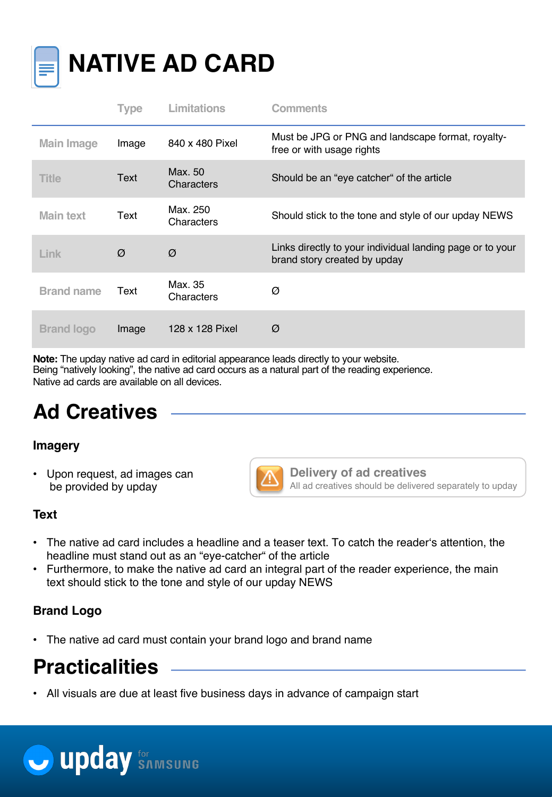

## **NATIVE AD CARD**

|                   | Type  | <b>Limitations</b>     | <b>Comments</b>                                                                           |
|-------------------|-------|------------------------|-------------------------------------------------------------------------------------------|
| <b>Main Image</b> | Image | 840 x 480 Pixel        | Must be JPG or PNG and landscape format, royalty-<br>free or with usage rights            |
| <b>Title</b>      | Text  | Max. 50<br>Characters  | Should be an "eye catcher" of the article                                                 |
| Main text         | Text  | Max. 250<br>Characters | Should stick to the tone and style of our upday NEWS                                      |
| Link              | Ø     | Ø                      | Links directly to your individual landing page or to your<br>brand story created by upday |
| <b>Brand name</b> | Text  | Max. 35<br>Characters  | Ø                                                                                         |
| <b>Brand logo</b> | Image | 128 x 128 Pixel        | Ø                                                                                         |

**Note:** The upday native ad card in editorial appearance leads directly to your website. Being "natively looking", the native ad card occurs as a natural part of the reading experience. Native ad cards are available on all devices.

### **Ad Creatives**

#### **Imagery**

• Upon request, ad images can be provided by upday



**Delivery of ad creatives** All ad creatives should be delivered separately to upday

#### **Text**

- The native ad card includes a headline and a teaser text. To catch the reader's attention, the headline must stand out as an "eye-catcher" of the article
- Furthermore, to make the native ad card an integral part of the reader experience, the main text should stick to the tone and style of our upday NEWS

#### **Brand Logo**

• The native ad card must contain your brand logo and brand name

### **Practicalities**

• All visuals are due at least five business days in advance of campaign start

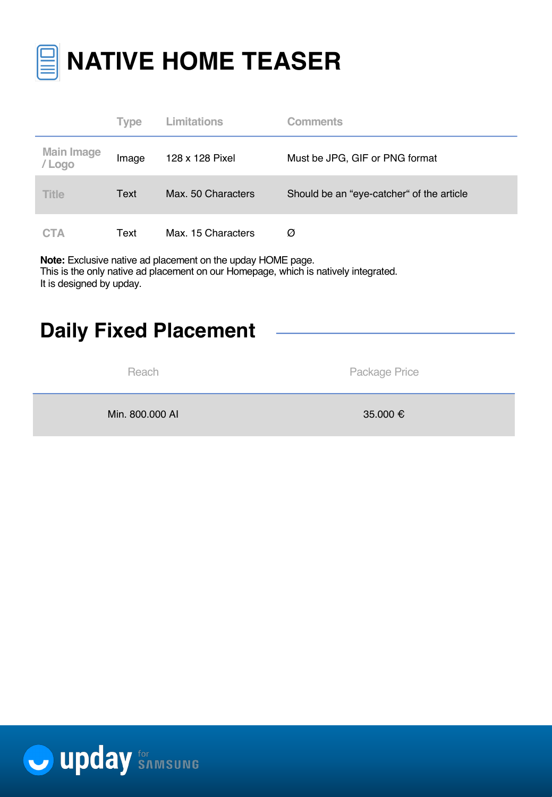

|                             | <b>Type</b> | Limitations        | <b>Comments</b>                           |
|-----------------------------|-------------|--------------------|-------------------------------------------|
| <b>Main Image</b><br>/ Logo | Image       | 128 x 128 Pixel    | Must be JPG, GIF or PNG format            |
| <b>Title</b>                | Text        | Max. 50 Characters | Should be an "eye-catcher" of the article |
| <b>CTA</b>                  | Text        | Max. 15 Characters | Ø                                         |

**Note:** Exclusive native ad placement on the upday HOME page. This is the only native ad placement on our Homepage, which is natively integrated. It is designed by upday.

### **Daily Fixed Placement**

Reach **Package Price** 

Min. 800.000 AI  $\bullet$  35.000 €

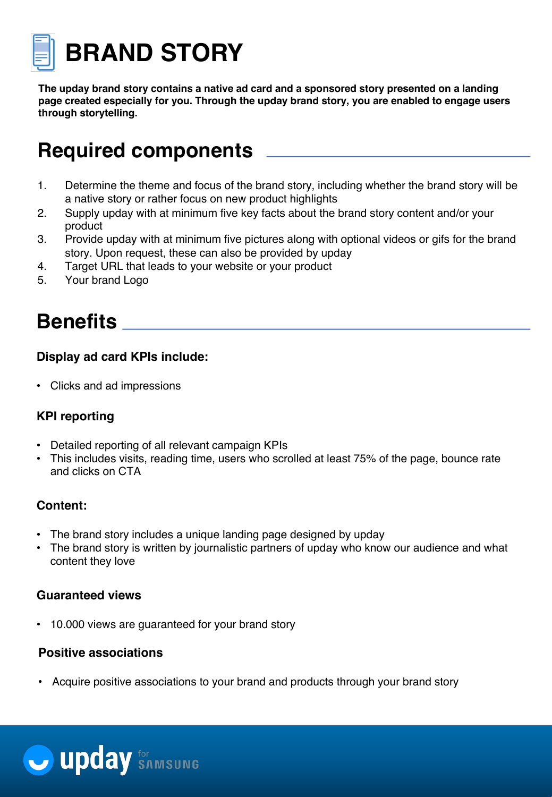

**BRAND STORY** 

**The upday brand story contains a native ad card and a sponsored story presented on a landing page created especially for you. Through the upday brand story, you are enabled to engage users through storytelling.** 

### **Required components**

- 1. Determine the theme and focus of the brand story, including whether the brand story will be a native story or rather focus on new product highlights
- 2. Supply upday with at minimum five key facts about the brand story content and/or your product
- 3. Provide upday with at minimum five pictures along with optional videos or gifs for the brand story. Upon request, these can also be provided by upday
- 4. Target URL that leads to your website or your product
- 5. Your brand Logo

### **Benefits**

#### **Display ad card KPIs include:**

• Clicks and ad impressions

#### **KPI reporting**

- Detailed reporting of all relevant campaign KPIs
- This includes visits, reading time, users who scrolled at least 75% of the page, bounce rate and clicks on CTA

#### **Content:**

- The brand story includes a unique landing page designed by upday
- The brand story is written by journalistic partners of upday who know our audience and what content they love

#### **Guaranteed views**

• 10.000 views are guaranteed for your brand story

#### **Positive associations**

• Acquire positive associations to your brand and products through your brand story

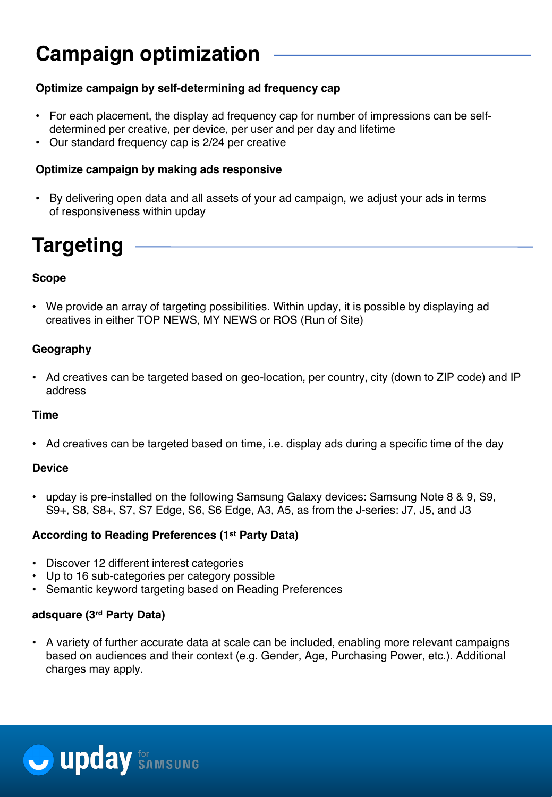### **Campaign optimization**

#### **Optimize campaign by self-determining ad frequency cap**

- For each placement, the display ad frequency cap for number of impressions can be selfdetermined per creative, per device, per user and per day and lifetime
- Our standard frequency cap is 2/24 per creative

#### **Optimize campaign by making ads responsive**

• By delivering open data and all assets of your ad campaign, we adjust your ads in terms of responsiveness within upday

### **Targeting**

#### **Scope**

• We provide an array of targeting possibilities. Within upday, it is possible by displaying ad creatives in either TOP NEWS, MY NEWS or ROS (Run of Site)

#### **Geography**

• Ad creatives can be targeted based on geo-location, per country, city (down to ZIP code) and IP address

#### **Time**

• Ad creatives can be targeted based on time, i.e. display ads during a specific time of the day

#### **Device**

• upday is pre-installed on the following Samsung Galaxy devices: Samsung Note 8 & 9, S9, S9+, S8, S8+, S7, S7 Edge, S6, S6 Edge, A3, A5, as from the J-series: J7, J5, and J3

#### **According to Reading Preferences (1st Party Data)**

- Discover 12 different interest categories
- Up to 16 sub-categories per category possible
- Semantic keyword targeting based on Reading Preferences

#### **adsquare (3rd Party Data)**

• A variety of further accurate data at scale can be included, enabling more relevant campaigns based on audiences and their context (e.g. Gender, Age, Purchasing Power, etc.). Additional charges may apply.